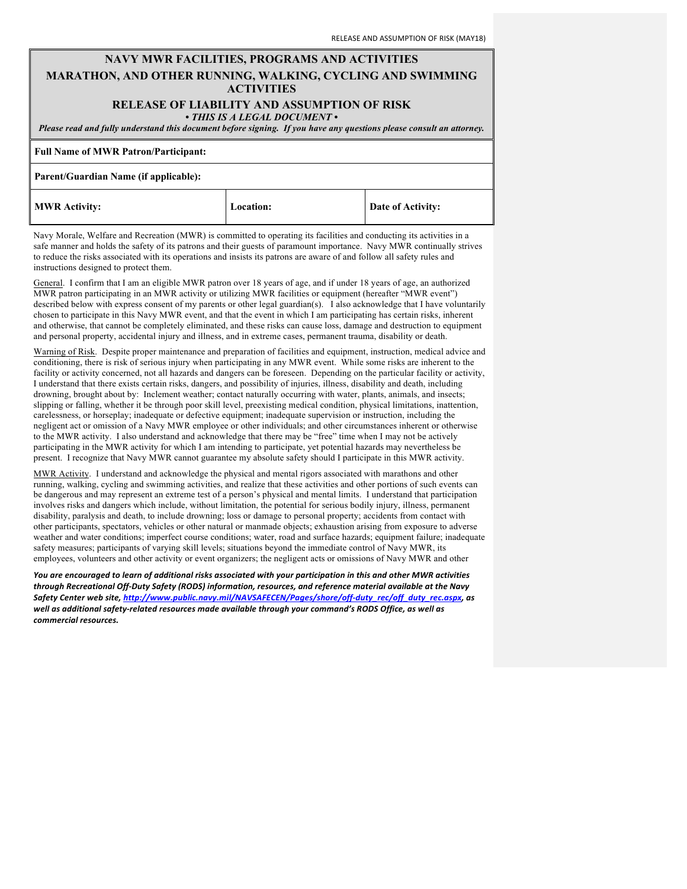## **NAVY MWR FACILITIES, PROGRAMS AND ACTIVITIES MARATHON, AND OTHER RUNNING, WALKING, CYCLING AND SWIMMING ACTIVITIES**

# **RELEASE OF LIABILITY AND ASSUMPTION OF RISK**

*• THIS IS A LEGAL DOCUMENT •*

*Please read and fully understand this document before signing. If you have any questions please consult an attorney.*

#### **Full Name of MWR Patron/Participant:**

#### **Parent/Guardian Name (if applicable):**

| <b>MWR Activity:</b> | Location: |
|----------------------|-----------|
|----------------------|-----------|

**Date of Activity:** 

Navy Morale, Welfare and Recreation (MWR) is committed to operating its facilities and conducting its activities in a safe manner and holds the safety of its patrons and their guests of paramount importance. Navy MWR continually strives to reduce the risks associated with its operations and insists its patrons are aware of and follow all safety rules and instructions designed to protect them.

General. I confirm that I am an eligible MWR patron over 18 years of age, and if under 18 years of age, an authorized MWR patron participating in an MWR activity or utilizing MWR facilities or equipment (hereafter "MWR event") described below with express consent of my parents or other legal guardian(s). I also acknowledge that I have voluntarily chosen to participate in this Navy MWR event, and that the event in which I am participating has certain risks, inherent and otherwise, that cannot be completely eliminated, and these risks can cause loss, damage and destruction to equipment and personal property, accidental injury and illness, and in extreme cases, permanent trauma, disability or death.

Warning of Risk. Despite proper maintenance and preparation of facilities and equipment, instruction, medical advice and conditioning, there is risk of serious injury when participating in any MWR event. While some risks are inherent to the facility or activity concerned, not all hazards and dangers can be foreseen. Depending on the particular facility or activity, I understand that there exists certain risks, dangers, and possibility of injuries, illness, disability and death, including drowning, brought about by: Inclement weather; contact naturally occurring with water, plants, animals, and insects; slipping or falling, whether it be through poor skill level, preexisting medical condition, physical limitations, inattention, carelessness, or horseplay; inadequate or defective equipment; inadequate supervision or instruction, including the negligent act or omission of a Navy MWR employee or other individuals; and other circumstances inherent or otherwise to the MWR activity. I also understand and acknowledge that there may be "free" time when I may not be actively participating in the MWR activity for which I am intending to participate, yet potential hazards may nevertheless be present. I recognize that Navy MWR cannot guarantee my absolute safety should I participate in this MWR activity.

MWR Activity. I understand and acknowledge the physical and mental rigors associated with marathons and other running, walking, cycling and swimming activities, and realize that these activities and other portions of such events can be dangerous and may represent an extreme test of a person's physical and mental limits. I understand that participation involves risks and dangers which include, without limitation, the potential for serious bodily injury, illness, permanent disability, paralysis and death, to include drowning; loss or damage to personal property; accidents from contact with other participants, spectators, vehicles or other natural or manmade objects; exhaustion arising from exposure to adverse weather and water conditions; imperfect course conditions; water, road and surface hazards; equipment failure; inadequate safety measures; participants of varying skill levels; situations beyond the immediate control of Navy MWR, its employees, volunteers and other activity or event organizers; the negligent acts or omissions of Navy MWR and other

You are encouraged to learn of additional risks associated with your participation in this and other MWR activities through Recreational Off-Duty Safety (RODS) information, resources, and reference material available at the Navy Safety Center web site, http://www.public.navy.mil/NAVSAFECEN/Pages/shore/off-duty\_rec/off\_duty\_rec.aspx, as well as additional safety-related resources made available through your command's RODS Office, as well as *commercial resources.*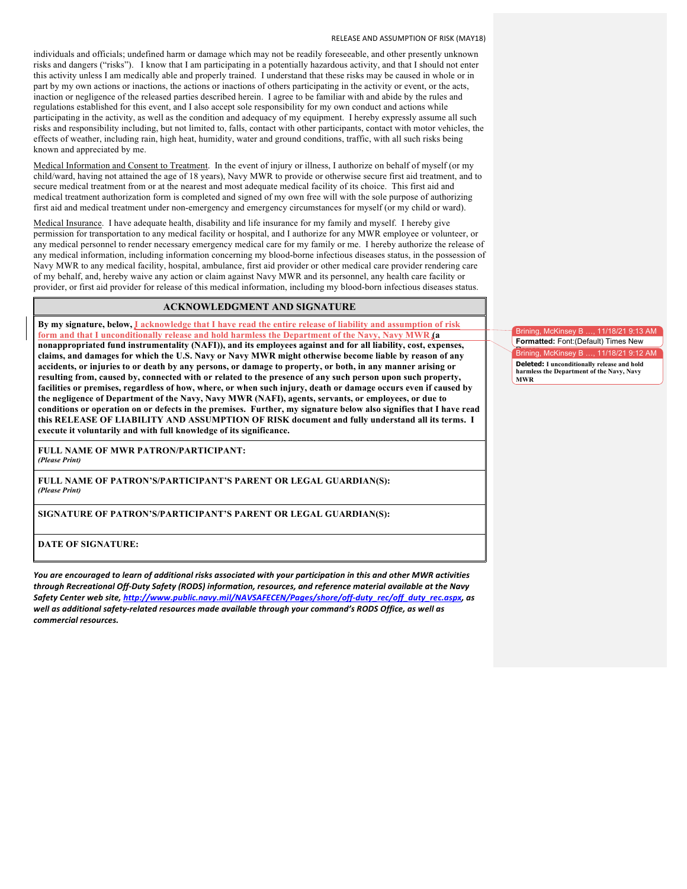individuals and officials; undefined harm or damage which may not be readily foreseeable, and other presently unknown risks and dangers ("risks"). I know that I am participating in a potentially hazardous activity, and that I should not enter this activity unless I am medically able and properly trained. I understand that these risks may be caused in whole or in part by my own actions or inactions, the actions or inactions of others participating in the activity or event, or the acts, inaction or negligence of the released parties described herein. I agree to be familiar with and abide by the rules and regulations established for this event, and I also accept sole responsibility for my own conduct and actions while participating in the activity, as well as the condition and adequacy of my equipment. I hereby expressly assume all such risks and responsibility including, but not limited to, falls, contact with other participants, contact with motor vehicles, the effects of weather, including rain, high heat, humidity, water and ground conditions, traffic, with all such risks being known and appreciated by me.

Medical Information and Consent to Treatment. In the event of injury or illness, I authorize on behalf of myself (or my child/ward, having not attained the age of 18 years), Navy MWR to provide or otherwise secure first aid treatment, and to secure medical treatment from or at the nearest and most adequate medical facility of its choice. This first aid and medical treatment authorization form is completed and signed of my own free will with the sole purpose of authorizing first aid and medical treatment under non-emergency and emergency circumstances for myself (or my child or ward).

Medical Insurance. I have adequate health, disability and life insurance for my family and myself. I hereby give permission for transportation to any medical facility or hospital, and I authorize for any MWR employee or volunteer, or any medical personnel to render necessary emergency medical care for my family or me. I hereby authorize the release of any medical information, including information concerning my blood-borne infectious diseases status, in the possession of Navy MWR to any medical facility, hospital, ambulance, first aid provider or other medical care provider rendering care of my behalf, and, hereby waive any action or claim against Navy MWR and its personnel, any health care facility or provider, or first aid provider for release of this medical information, including my blood-born infectious diseases status.

### **ACKNOWLEDGMENT AND SIGNATURE**

**By my signature, below, I acknowledge that I have read the entire release of liability and assumption of risk form and that I unconditionally release and hold harmless the Department of the Navy, Navy MWR (a nonappropriated fund instrumentality (NAFI)), and its employees against and for all liability, cost, expenses, claims, and damages for which the U.S. Navy or Navy MWR might otherwise become liable by reason of any accidents, or injuries to or death by any persons, or damage to property, or both, in any manner arising or resulting from, caused by, connected with or related to the presence of any such person upon such property, facilities or premises, regardless of how, where, or when such injury, death or damage occurs even if caused by the negligence of Department of the Navy, Navy MWR (NAFI), agents, servants, or employees, or due to conditions or operation on or defects in the premises. Further, my signature below also signifies that I have read this RELEASE OF LIABILITY AND ASSUMPTION OF RISK document and fully understand all its terms. I execute it voluntarily and with full knowledge of its significance.** 

**FULL NAME OF MWR PATRON/PARTICIPANT:** *(Please Print)*

**FULL NAME OF PATRON'S/PARTICIPANT'S PARENT OR LEGAL GUARDIAN(S):** *(Please Print)*

**SIGNATURE OF PATRON'S/PARTICIPANT'S PARENT OR LEGAL GUARDIAN(S):**

**DATE OF SIGNATURE:**

You are encouraged to learn of additional risks associated with your participation in this and other MWR activities through Recreational Off-Duty Safety (RODS) information, resources, and reference material available at the Navy Safety Center web site, http://www.public.navy.mil/NAVSAFECEN/Pages/shore/off-duty\_rec/off\_duty\_rec.aspx, as well as additional safety-related resources made available through your command's RODS Office, as well as *commercial resources.*

Brining, McKinsey B …, 11/18/21 9:13 AM **Formatted:** Font:(Default) Times New ing, McKinsey B …, 11/18/21 9:12 AM **Deleted: I unconditionally release and hold harmless the Department of the Navy, Navy MWR**